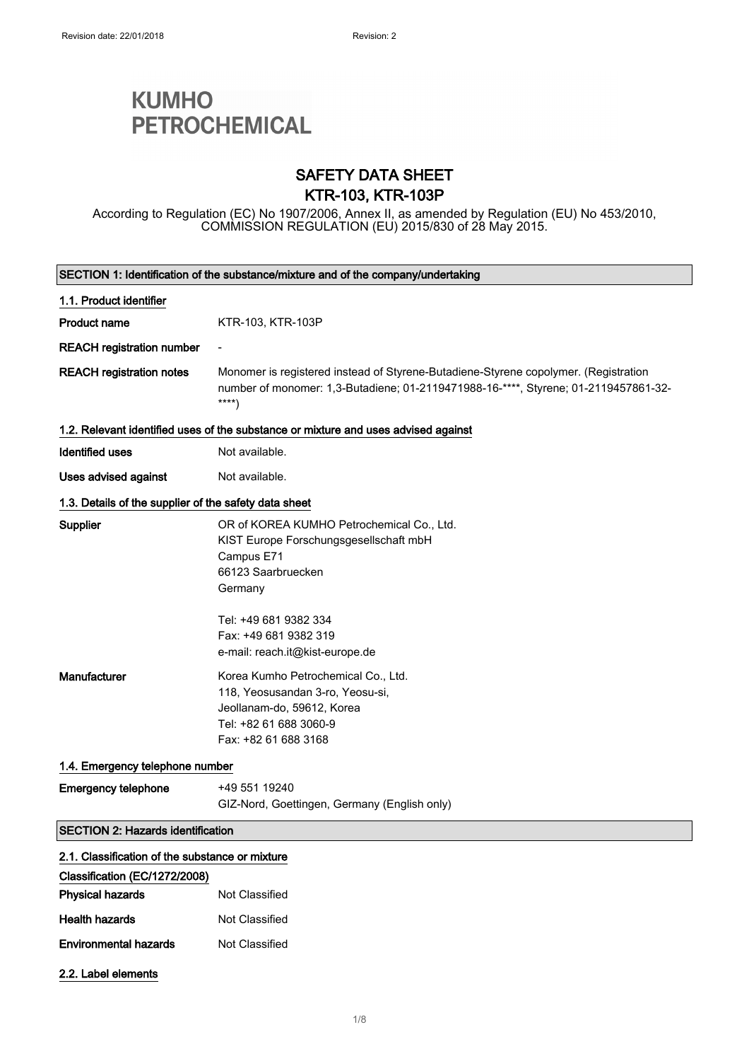# **KUMHO PETROCHEMICAL**

### SAFETY DATA SHEET KTR-103, KTR-103P

According to Regulation (EC) No 1907/2006, Annex II, as amended by Regulation (EU) No 453/2010, COMMISSION REGULATION (EU) 2015/830 of 28 May 2015.

| SECTION 1: Identification of the substance/mixture and of the company/undertaking |                                                                                                                                                                                                                         |
|-----------------------------------------------------------------------------------|-------------------------------------------------------------------------------------------------------------------------------------------------------------------------------------------------------------------------|
| 1.1. Product identifier                                                           |                                                                                                                                                                                                                         |
| <b>Product name</b>                                                               | KTR-103, KTR-103P                                                                                                                                                                                                       |
| <b>REACH registration number</b>                                                  |                                                                                                                                                                                                                         |
| <b>REACH registration notes</b>                                                   | Monomer is registered instead of Styrene-Butadiene-Styrene copolymer. (Registration<br>number of monomer: 1,3-Butadiene; 01-2119471988-16-****, Styrene; 01-2119457861-32-<br>$***$                                     |
|                                                                                   | 1.2. Relevant identified uses of the substance or mixture and uses advised against                                                                                                                                      |
| <b>Identified uses</b>                                                            | Not available.                                                                                                                                                                                                          |
| Uses advised against                                                              | Not available.                                                                                                                                                                                                          |
| 1.3. Details of the supplier of the safety data sheet                             |                                                                                                                                                                                                                         |
| Supplier                                                                          | OR of KOREA KUMHO Petrochemical Co., Ltd.<br>KIST Europe Forschungsgesellschaft mbH<br>Campus E71<br>66123 Saarbruecken<br>Germany<br>Tel: +49 681 9382 334<br>Fax: +49 681 9382 319<br>e-mail: reach.it@kist-europe.de |
| <b>Manufacturer</b>                                                               | Korea Kumho Petrochemical Co., Ltd.<br>118, Yeosusandan 3-ro, Yeosu-si,<br>Jeollanam-do, 59612, Korea<br>Tel: +82 61 688 3060-9<br>Fax: +82 61 688 3168                                                                 |
| 1.4. Emergency telephone number                                                   |                                                                                                                                                                                                                         |
| <b>Emergency telephone</b>                                                        | +49 551 19240<br>GIZ-Nord, Goettingen, Germany (English only)                                                                                                                                                           |
| <b>SECTION 2: Hazards identification</b>                                          |                                                                                                                                                                                                                         |
| 2.1. Classification of the substance or mixture                                   |                                                                                                                                                                                                                         |
| Classification (EC/1272/2008)                                                     |                                                                                                                                                                                                                         |
| <b>Physical hazards</b>                                                           | Not Classified                                                                                                                                                                                                          |
| <b>Health hazards</b>                                                             | Not Classified                                                                                                                                                                                                          |
| <b>Environmental hazards</b>                                                      | Not Classified                                                                                                                                                                                                          |
| 2.2. Label elements                                                               |                                                                                                                                                                                                                         |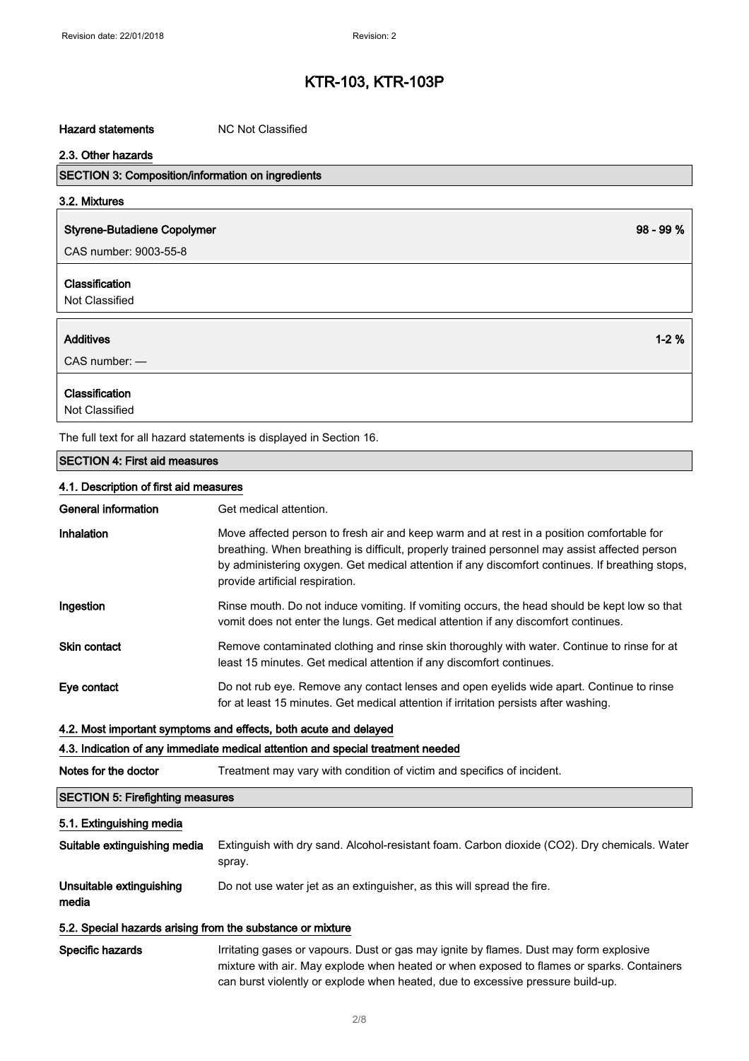#### Hazard statements MC Not Classified

| 2.3. Other hazards                                                  |             |
|---------------------------------------------------------------------|-------------|
| <b>SECTION 3: Composition/information on ingredients</b>            |             |
| 3.2. Mixtures                                                       |             |
| <b>Styrene-Butadiene Copolymer</b>                                  | $98 - 99 %$ |
| CAS number: 9003-55-8                                               |             |
| <b>Classification</b>                                               |             |
| Not Classified                                                      |             |
| <b>Additives</b>                                                    | $1 - 2%$    |
| $CAS$ number: $-$                                                   |             |
| <b>Classification</b>                                               |             |
| Not Classified                                                      |             |
| The full text for all hazard statements is displayed in Section 16. |             |

SECTION 4: First aid measures

#### 4.1. Description of first aid measures

| <b>General information</b> | Get medical attention.                                                                                                                                                                                                                                                                                                           |
|----------------------------|----------------------------------------------------------------------------------------------------------------------------------------------------------------------------------------------------------------------------------------------------------------------------------------------------------------------------------|
| Inhalation                 | Move affected person to fresh air and keep warm and at rest in a position comfortable for<br>breathing. When breathing is difficult, properly trained personnel may assist affected person<br>by administering oxygen. Get medical attention if any discomfort continues. If breathing stops,<br>provide artificial respiration. |
| Ingestion                  | Rinse mouth. Do not induce vomiting. If vomiting occurs, the head should be kept low so that<br>vomit does not enter the lungs. Get medical attention if any discomfort continues.                                                                                                                                               |
| <b>Skin contact</b>        | Remove contaminated clothing and rinse skin thoroughly with water. Continue to rinse for at<br>least 15 minutes. Get medical attention if any discomfort continues.                                                                                                                                                              |
| Eye contact                | Do not rub eye. Remove any contact lenses and open eyelids wide apart. Continue to rinse<br>for at least 15 minutes. Get medical attention if irritation persists after washing.                                                                                                                                                 |
|                            |                                                                                                                                                                                                                                                                                                                                  |

#### 4.2. Most important symptoms and effects, both acute and delayed

### 4.3. Indication of any immediate medical attention and special treatment needed

Notes for the doctor Treatment may vary with condition of victim and specifics of incident.

### SECTION 5: Firefighting measures

#### 5.1. Extinguishing media

| Suitable extinguishing media      | Extinguish with dry sand. Alcohol-resistant foam. Carbon dioxide (CO2). Dry chemicals. Water<br>spray. |
|-----------------------------------|--------------------------------------------------------------------------------------------------------|
| Unsuitable extinguishing<br>media | Do not use water jet as an extinguisher, as this will spread the fire.                                 |
|                                   |                                                                                                        |

#### 5.2. Special hazards arising from the substance or mixture

Specific hazards **Irritating gases or vapours.** Dust or gas may ignite by flames. Dust may form explosive mixture with air. May explode when heated or when exposed to flames or sparks. Containers can burst violently or explode when heated, due to excessive pressure build-up.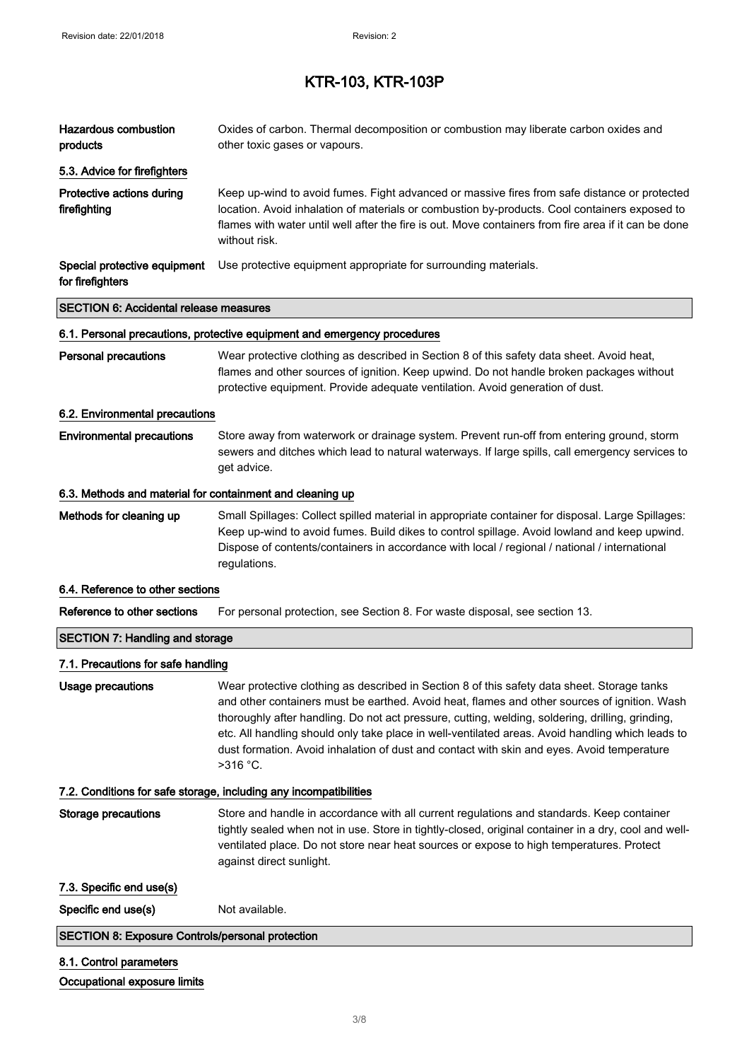| Hazardous combustion<br>products                          | Oxides of carbon. Thermal decomposition or combustion may liberate carbon oxides and<br>other toxic gases or vapours.                                                                                                                                                                                                                                                                                                                                                                                         |
|-----------------------------------------------------------|---------------------------------------------------------------------------------------------------------------------------------------------------------------------------------------------------------------------------------------------------------------------------------------------------------------------------------------------------------------------------------------------------------------------------------------------------------------------------------------------------------------|
| 5.3. Advice for firefighters                              |                                                                                                                                                                                                                                                                                                                                                                                                                                                                                                               |
| Protective actions during<br>firefighting                 | Keep up-wind to avoid fumes. Fight advanced or massive fires from safe distance or protected<br>location. Avoid inhalation of materials or combustion by-products. Cool containers exposed to<br>flames with water until well after the fire is out. Move containers from fire area if it can be done<br>without risk.                                                                                                                                                                                        |
| Special protective equipment<br>for firefighters          | Use protective equipment appropriate for surrounding materials.                                                                                                                                                                                                                                                                                                                                                                                                                                               |
| <b>SECTION 6: Accidental release measures</b>             |                                                                                                                                                                                                                                                                                                                                                                                                                                                                                                               |
|                                                           | 6.1. Personal precautions, protective equipment and emergency procedures                                                                                                                                                                                                                                                                                                                                                                                                                                      |
| <b>Personal precautions</b>                               | Wear protective clothing as described in Section 8 of this safety data sheet. Avoid heat,<br>flames and other sources of ignition. Keep upwind. Do not handle broken packages without<br>protective equipment. Provide adequate ventilation. Avoid generation of dust.                                                                                                                                                                                                                                        |
| 6.2. Environmental precautions                            |                                                                                                                                                                                                                                                                                                                                                                                                                                                                                                               |
| <b>Environmental precautions</b>                          | Store away from waterwork or drainage system. Prevent run-off from entering ground, storm<br>sewers and ditches which lead to natural waterways. If large spills, call emergency services to<br>get advice.                                                                                                                                                                                                                                                                                                   |
| 6.3. Methods and material for containment and cleaning up |                                                                                                                                                                                                                                                                                                                                                                                                                                                                                                               |
| Methods for cleaning up                                   | Small Spillages: Collect spilled material in appropriate container for disposal. Large Spillages:<br>Keep up-wind to avoid fumes. Build dikes to control spillage. Avoid lowland and keep upwind.<br>Dispose of contents/containers in accordance with local / regional / national / international<br>regulations.                                                                                                                                                                                            |
| 6.4. Reference to other sections                          |                                                                                                                                                                                                                                                                                                                                                                                                                                                                                                               |
| Reference to other sections                               | For personal protection, see Section 8. For waste disposal, see section 13.                                                                                                                                                                                                                                                                                                                                                                                                                                   |
| <b>SECTION 7: Handling and storage</b>                    |                                                                                                                                                                                                                                                                                                                                                                                                                                                                                                               |
| 7.1. Precautions for safe handling                        |                                                                                                                                                                                                                                                                                                                                                                                                                                                                                                               |
| <b>Usage precautions</b>                                  | Wear protective clothing as described in Section 8 of this safety data sheet. Storage tanks<br>and other containers must be earthed. Avoid heat, flames and other sources of ignition. Wash<br>thoroughly after handling. Do not act pressure, cutting, welding, soldering, drilling, grinding,<br>etc. All handling should only take place in well-ventilated areas. Avoid handling which leads to<br>dust formation. Avoid inhalation of dust and contact with skin and eyes. Avoid temperature<br>>316 °C. |
|                                                           | 7.2. Conditions for safe storage, including any incompatibilities                                                                                                                                                                                                                                                                                                                                                                                                                                             |
| <b>Storage precautions</b>                                | Store and handle in accordance with all current regulations and standards. Keep container<br>tightly sealed when not in use. Store in tightly-closed, original container in a dry, cool and well-<br>ventilated place. Do not store near heat sources or expose to high temperatures. Protect<br>against direct sunlight.                                                                                                                                                                                     |
| 7.3. Specific end use(s)                                  |                                                                                                                                                                                                                                                                                                                                                                                                                                                                                                               |
| Specific end use(s)                                       | Not available.                                                                                                                                                                                                                                                                                                                                                                                                                                                                                                |
| <b>SECTION 8: Exposure Controls/personal protection</b>   |                                                                                                                                                                                                                                                                                                                                                                                                                                                                                                               |
| 8.1. Control parameters<br>Occupational exposure limits   |                                                                                                                                                                                                                                                                                                                                                                                                                                                                                                               |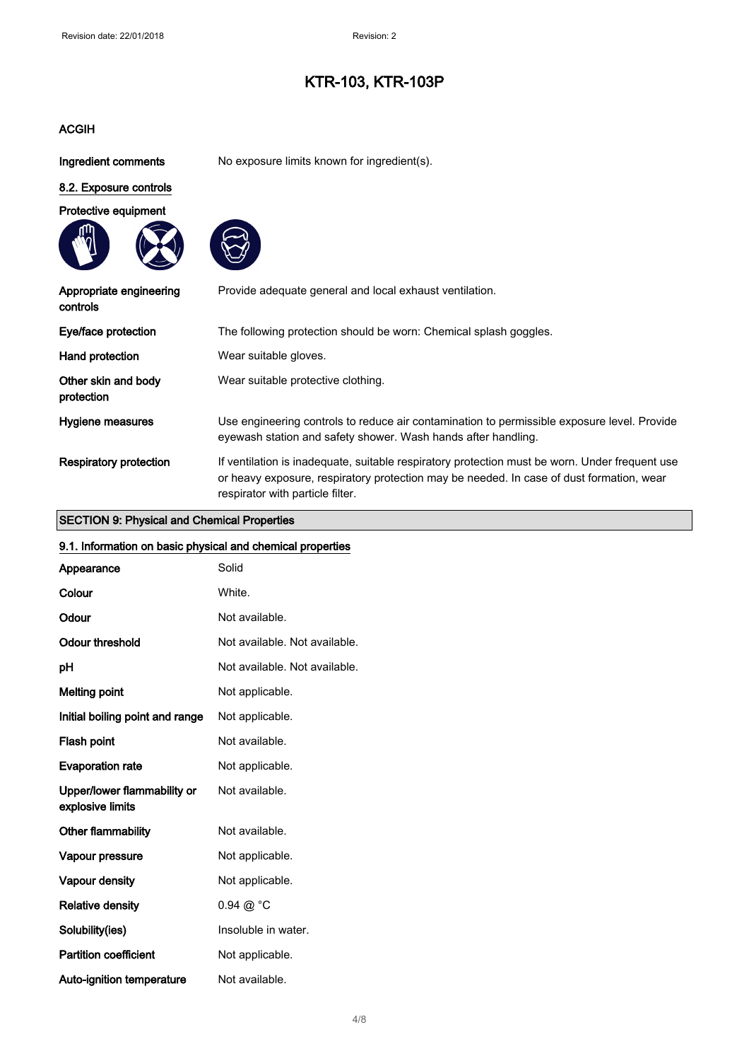#### ACGIH

Ingredient comments No exposure limits known for ingredient(s).

### 8.2. Exposure controls







| Appropriate engineering<br>controls | Provide adequate general and local exhaust ventilation.                                                                                                                                                                        |
|-------------------------------------|--------------------------------------------------------------------------------------------------------------------------------------------------------------------------------------------------------------------------------|
| Eye/face protection                 | The following protection should be worn: Chemical splash goggles.                                                                                                                                                              |
| Hand protection                     | Wear suitable gloves.                                                                                                                                                                                                          |
| Other skin and body<br>protection   | Wear suitable protective clothing.                                                                                                                                                                                             |
| Hygiene measures                    | Use engineering controls to reduce air contamination to permissible exposure level. Provide<br>eyewash station and safety shower. Wash hands after handling.                                                                   |
| <b>Respiratory protection</b>       | If ventilation is inadequate, suitable respiratory protection must be worn. Under frequent use<br>or heavy exposure, respiratory protection may be needed. In case of dust formation, wear<br>respirator with particle filter. |

#### SECTION 9: Physical and Chemical Properties

# 9.1. Information on basic physical and chemical properties

| Appearance                                      | Solid                         |
|-------------------------------------------------|-------------------------------|
| Colour                                          | White.                        |
| Odour                                           | Not available.                |
| <b>Odour threshold</b>                          | Not available. Not available. |
| pH                                              | Not available. Not available. |
| <b>Melting point</b>                            | Not applicable.               |
| Initial boiling point and range                 | Not applicable.               |
| Flash point                                     | Not available.                |
| <b>Evaporation rate</b>                         | Not applicable.               |
| Upper/lower flammability or<br>explosive limits | Not available.                |
| Other flammability                              | Not available.                |
| Vapour pressure                                 | Not applicable.               |
| Vapour density                                  | Not applicable.               |
| <b>Relative density</b>                         | $0.94 \ @ ^{\circ}C$          |
| Solubility(ies)                                 | Insoluble in water.           |
| <b>Partition coefficient</b>                    | Not applicable.               |
| Auto-ignition temperature                       | Not available.                |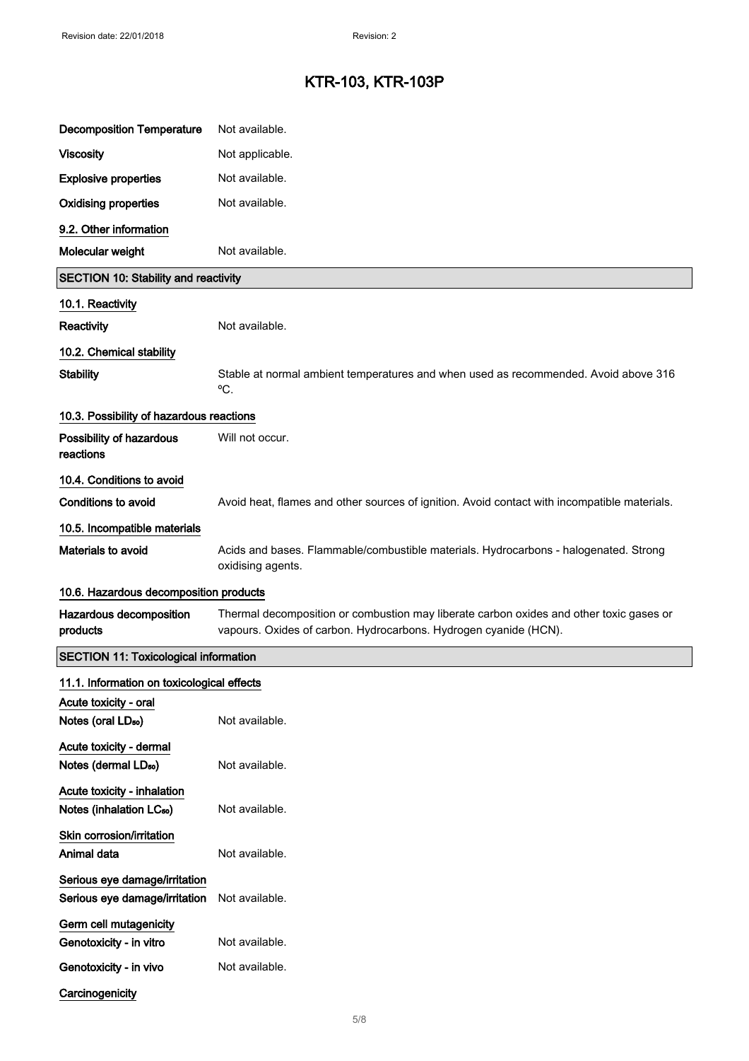| <b>Decomposition Temperature</b>                               | Not available.                                                                                                                                              |
|----------------------------------------------------------------|-------------------------------------------------------------------------------------------------------------------------------------------------------------|
| <b>Viscosity</b>                                               | Not applicable.                                                                                                                                             |
| <b>Explosive properties</b>                                    | Not available.                                                                                                                                              |
| <b>Oxidising properties</b>                                    | Not available.                                                                                                                                              |
| 9.2. Other information                                         |                                                                                                                                                             |
| Molecular weight                                               | Not available.                                                                                                                                              |
| <b>SECTION 10: Stability and reactivity</b>                    |                                                                                                                                                             |
| 10.1. Reactivity                                               |                                                                                                                                                             |
| Reactivity                                                     | Not available.                                                                                                                                              |
| 10.2. Chemical stability                                       |                                                                                                                                                             |
| <b>Stability</b>                                               | Stable at normal ambient temperatures and when used as recommended. Avoid above 316<br>°C.                                                                  |
| 10.3. Possibility of hazardous reactions                       |                                                                                                                                                             |
| Possibility of hazardous<br>reactions                          | Will not occur.                                                                                                                                             |
| 10.4. Conditions to avoid                                      |                                                                                                                                                             |
| <b>Conditions to avoid</b>                                     | Avoid heat, flames and other sources of ignition. Avoid contact with incompatible materials.                                                                |
| 10.5. Incompatible materials                                   |                                                                                                                                                             |
| Materials to avoid                                             | Acids and bases. Flammable/combustible materials. Hydrocarbons - halogenated. Strong<br>oxidising agents.                                                   |
| 10.6. Hazardous decomposition products                         |                                                                                                                                                             |
| Hazardous decomposition<br>products                            | Thermal decomposition or combustion may liberate carbon oxides and other toxic gases or<br>vapours. Oxides of carbon. Hydrocarbons. Hydrogen cyanide (HCN). |
| <b>SECTION 11: Toxicological information</b>                   |                                                                                                                                                             |
| 11.1. Information on toxicological effects                     |                                                                                                                                                             |
| Acute toxicity - oral<br>Notes (oral LD <sub>50</sub> )        | Not available.                                                                                                                                              |
| Acute toxicity - dermal                                        |                                                                                                                                                             |
| Notes (dermal LD <sub>50</sub> )                               | Not available.                                                                                                                                              |
| Acute toxicity - inhalation                                    |                                                                                                                                                             |
| Notes (inhalation LC <sub>50</sub> )                           | Not available.                                                                                                                                              |
| Skin corrosion/irritation<br>Animal data                       | Not available.                                                                                                                                              |
| Serious eye damage/irritation<br>Serious eye damage/irritation | Not available.                                                                                                                                              |
| Germ cell mutagenicity                                         |                                                                                                                                                             |
| Genotoxicity - in vitro                                        | Not available.                                                                                                                                              |
| Genotoxicity - in vivo                                         | Not available.                                                                                                                                              |
| Carcinogenicity                                                |                                                                                                                                                             |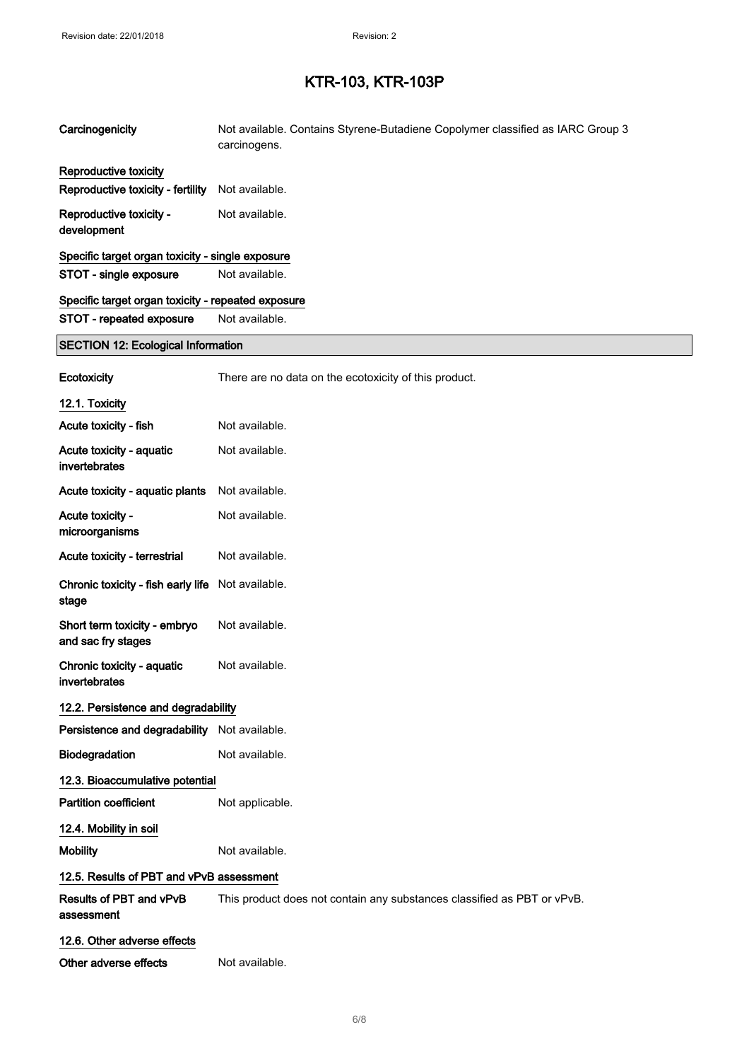| Carcinogenicity                                    | Not available. Contains Styrene-Butadiene Copolymer classified as IARC Group 3<br>carcinogens. |
|----------------------------------------------------|------------------------------------------------------------------------------------------------|
| Reproductive toxicity                              |                                                                                                |
| Reproductive toxicity - fertility                  | Not available.                                                                                 |
| Reproductive toxicity -<br>development             | Not available.                                                                                 |
| Specific target organ toxicity - single exposure   |                                                                                                |
| STOT - single exposure                             | Not available.                                                                                 |
| Specific target organ toxicity - repeated exposure |                                                                                                |
| STOT - repeated exposure                           | Not available.                                                                                 |
| <b>SECTION 12: Ecological Information</b>          |                                                                                                |
| Ecotoxicity                                        | There are no data on the ecotoxicity of this product.                                          |
| 12.1. Toxicity                                     |                                                                                                |
| Acute toxicity - fish                              | Not available.                                                                                 |
| Acute toxicity - aquatic<br>invertebrates          | Not available.                                                                                 |
| Acute toxicity - aquatic plants                    | Not available.                                                                                 |
| Acute toxicity -<br>microorganisms                 | Not available.                                                                                 |
| Acute toxicity - terrestrial                       | Not available.                                                                                 |
| Chronic toxicity - fish early life<br>stage        | Not available.                                                                                 |
| Short term toxicity - embryo<br>and sac fry stages | Not available.                                                                                 |
| Chronic toxicity - aquatic<br>invertebrates        | Not available.                                                                                 |
| 12.2. Persistence and degradability                |                                                                                                |
| Persistence and degradability Not available.       |                                                                                                |
| Biodegradation                                     | Not available.                                                                                 |
| 12.3. Bioaccumulative potential                    |                                                                                                |
| <b>Partition coefficient</b>                       | Not applicable.                                                                                |
| 12.4. Mobility in soil                             |                                                                                                |
| <b>Mobility</b>                                    | Not available.                                                                                 |
| 12.5. Results of PBT and vPvB assessment           |                                                                                                |
| Results of PBT and vPvB<br>assessment              | This product does not contain any substances classified as PBT or vPvB.                        |
| 12.6. Other adverse effects                        |                                                                                                |
| Other adverse effects                              | Not available.                                                                                 |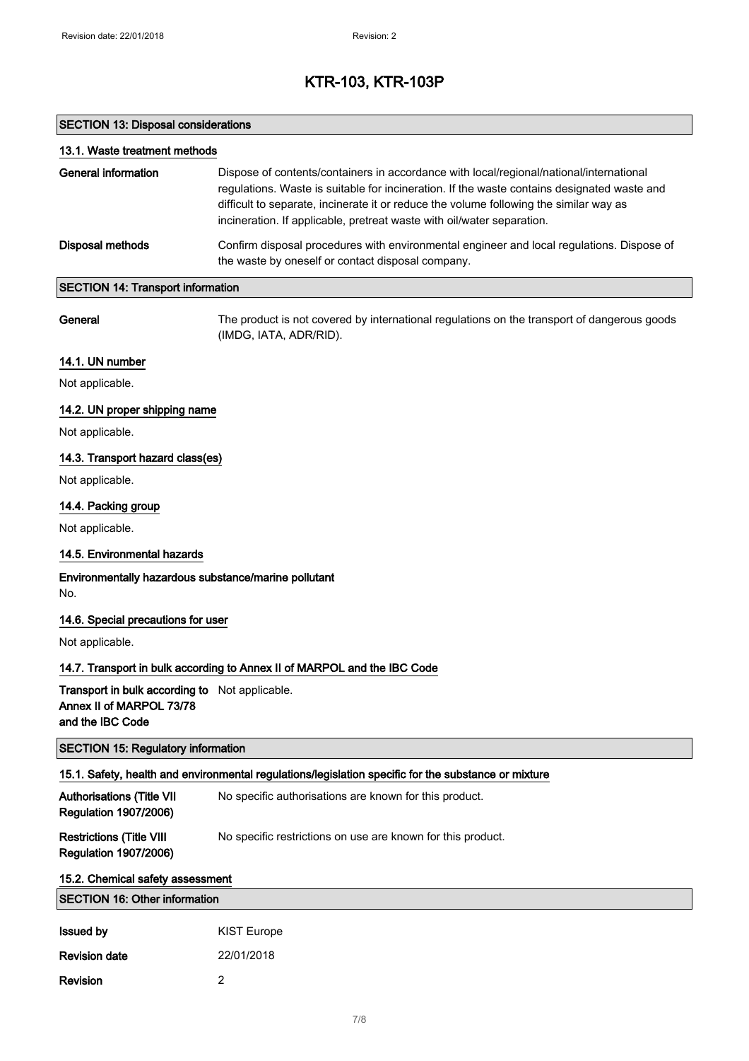### SECTION 13: Disposal considerations

Revision 2

| 13.1. Waste treatment methods                                                                  |                                                                                                                                                                                                                                                                                                                                                            |
|------------------------------------------------------------------------------------------------|------------------------------------------------------------------------------------------------------------------------------------------------------------------------------------------------------------------------------------------------------------------------------------------------------------------------------------------------------------|
| <b>General information</b>                                                                     | Dispose of contents/containers in accordance with local/regional/national/international<br>regulations. Waste is suitable for incineration. If the waste contains designated waste and<br>difficult to separate, incinerate it or reduce the volume following the similar way as<br>incineration. If applicable, pretreat waste with oil/water separation. |
| <b>Disposal methods</b>                                                                        | Confirm disposal procedures with environmental engineer and local regulations. Dispose of<br>the waste by oneself or contact disposal company.                                                                                                                                                                                                             |
| <b>SECTION 14: Transport information</b>                                                       |                                                                                                                                                                                                                                                                                                                                                            |
| General                                                                                        | The product is not covered by international regulations on the transport of dangerous goods<br>(IMDG, IATA, ADR/RID).                                                                                                                                                                                                                                      |
| 14.1. UN number                                                                                |                                                                                                                                                                                                                                                                                                                                                            |
| Not applicable.                                                                                |                                                                                                                                                                                                                                                                                                                                                            |
| 14.2. UN proper shipping name                                                                  |                                                                                                                                                                                                                                                                                                                                                            |
| Not applicable.                                                                                |                                                                                                                                                                                                                                                                                                                                                            |
| 14.3. Transport hazard class(es)                                                               |                                                                                                                                                                                                                                                                                                                                                            |
| Not applicable.                                                                                |                                                                                                                                                                                                                                                                                                                                                            |
| 14.4. Packing group                                                                            |                                                                                                                                                                                                                                                                                                                                                            |
| Not applicable.                                                                                |                                                                                                                                                                                                                                                                                                                                                            |
| 14.5. Environmental hazards                                                                    |                                                                                                                                                                                                                                                                                                                                                            |
| Environmentally hazardous substance/marine pollutant<br>No.                                    |                                                                                                                                                                                                                                                                                                                                                            |
| 14.6. Special precautions for user                                                             |                                                                                                                                                                                                                                                                                                                                                            |
| Not applicable.                                                                                |                                                                                                                                                                                                                                                                                                                                                            |
|                                                                                                | 14.7. Transport in bulk according to Annex II of MARPOL and the IBC Code                                                                                                                                                                                                                                                                                   |
| Transport in bulk according to Not applicable.<br>Annex II of MARPOL 73/78<br>and the IBC Code |                                                                                                                                                                                                                                                                                                                                                            |
| <b>SECTION 15: Regulatory information</b>                                                      |                                                                                                                                                                                                                                                                                                                                                            |
|                                                                                                | 15.1. Safety, health and environmental regulations/legislation specific for the substance or mixture                                                                                                                                                                                                                                                       |
| <b>Authorisations (Title VII</b><br><b>Regulation 1907/2006)</b>                               | No specific authorisations are known for this product.                                                                                                                                                                                                                                                                                                     |
| <b>Restrictions (Title VIII</b><br><b>Regulation 1907/2006)</b>                                | No specific restrictions on use are known for this product.                                                                                                                                                                                                                                                                                                |
| 15.2. Chemical safety assessment                                                               |                                                                                                                                                                                                                                                                                                                                                            |
| <b>SECTION 16: Other information</b>                                                           |                                                                                                                                                                                                                                                                                                                                                            |
| <b>Issued by</b>                                                                               | <b>KIST Europe</b>                                                                                                                                                                                                                                                                                                                                         |
| <b>Revision date</b>                                                                           | 22/01/2018                                                                                                                                                                                                                                                                                                                                                 |